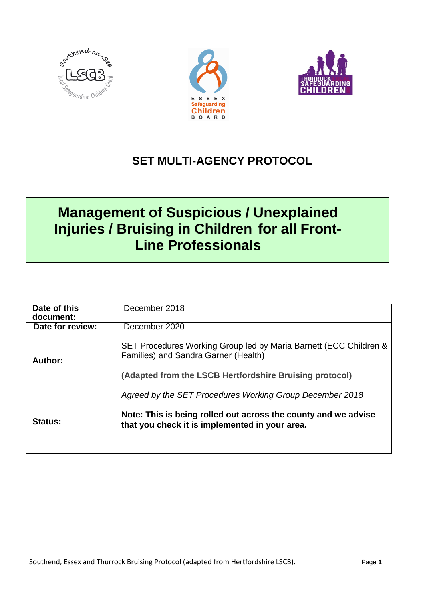





## **SET MULTI-AGENCY PROTOCOL**

# **Management of Suspicious / Unexplained Injuries / Bruising in Children for all Front-Line Professionals**

| Date of this<br>document: | December 2018                                                                                                                                                                |
|---------------------------|------------------------------------------------------------------------------------------------------------------------------------------------------------------------------|
| Date for review:          | December 2020                                                                                                                                                                |
| Author:                   | SET Procedures Working Group led by Maria Barnett (ECC Children &<br><b>Families) and Sandra Garner (Health)</b><br>(Adapted from the LSCB Hertfordshire Bruising protocol)  |
| <b>Status:</b>            | Agreed by the SET Procedures Working Group December 2018<br>Note: This is being rolled out across the county and we advise<br>that you check it is implemented in your area. |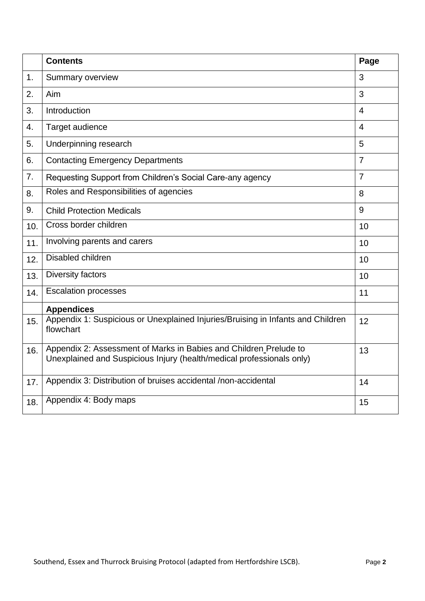|     | <b>Contents</b>                                                                                                                            | Page           |
|-----|--------------------------------------------------------------------------------------------------------------------------------------------|----------------|
| 1.  | <b>Summary overview</b>                                                                                                                    |                |
| 2.  | Aim                                                                                                                                        | 3              |
| 3.  | Introduction                                                                                                                               | $\overline{4}$ |
| 4.  | Target audience                                                                                                                            | $\overline{4}$ |
| 5.  | Underpinning research                                                                                                                      | 5              |
| 6.  | <b>Contacting Emergency Departments</b>                                                                                                    |                |
| 7.  | Requesting Support from Children's Social Care-any agency                                                                                  |                |
| 8.  | Roles and Responsibilities of agencies                                                                                                     | 8              |
| 9.  | <b>Child Protection Medicals</b>                                                                                                           | 9              |
| 10. | Cross border children                                                                                                                      | 10             |
| 11. | Involving parents and carers                                                                                                               | 10             |
| 12. | Disabled children                                                                                                                          | 10             |
| 13. | Diversity factors                                                                                                                          | 10             |
| 14. | <b>Escalation processes</b>                                                                                                                | 11             |
|     | <b>Appendices</b>                                                                                                                          |                |
| 15. | Appendix 1: Suspicious or Unexplained Injuries/Bruising in Infants and Children<br>flowchart                                               | 12             |
| 16. | Appendix 2: Assessment of Marks in Babies and Children Prelude to<br>Unexplained and Suspicious Injury (health/medical professionals only) | 13             |
| 17. | Appendix 3: Distribution of bruises accidental /non-accidental                                                                             | 14             |
| 18. | Appendix 4: Body maps                                                                                                                      | 15             |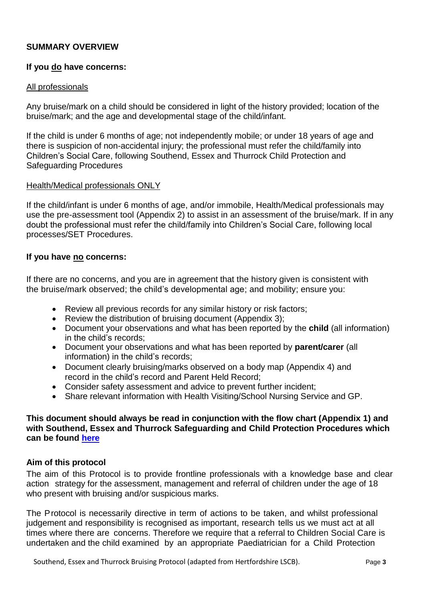#### **SUMMARY OVERVIEW**

#### **If you do have concerns:**

#### All professionals

Any bruise/mark on a child should be considered in light of the history provided; location of the bruise/mark; and the age and developmental stage of the child/infant.

If the child is under 6 months of age; not independently mobile; or under 18 years of age and there is suspicion of non-accidental injury; the professional must refer the child/family into Children's Social Care, following Southend, Essex and Thurrock Child Protection and Safeguarding Procedures

#### Health/Medical professionals ONLY

If the child/infant is under 6 months of age, and/or immobile, Health/Medical professionals may use the pre-assessment tool (Appendix 2) to assist in an assessment of the bruise/mark. If in any doubt the professional must refer the child/family into Children's Social Care, following local processes/SET Procedures.

#### **If you have no concerns:**

If there are no concerns, and you are in agreement that the history given is consistent with the bruise/mark observed; the child's developmental age; and mobility; ensure you:

- Review all previous records for any similar history or risk factors;
- Review the distribution of bruising document (Appendix 3);
- Document your observations and what has been reported by the **child** (all information) in the child's records;
- Document your observations and what has been reported by **parent/carer** (all information) in the child's records;
- Document clearly bruising/marks observed on a body map (Appendix 4) and record in the child's record and Parent Held Record;
- Consider safety assessment and advice to prevent further incident;
- Share relevant information with Health Visiting/School Nursing Service and GP.

#### **This document should always be read in conjunction with the flow chart (Appendix 1) and with Southend, Essex and Thurrock Safeguarding and Child Protection Procedures which can be found [here](http://www.escb.co.uk/media/1670/set-procedures-oct-2018-updated.pdf)**

#### **Aim of this protocol**

The aim of this Protocol is to provide frontline professionals with a knowledge base and clear action strategy for the assessment, management and referral of children under the age of 18 who present with bruising and/or suspicious marks.

The Protocol is necessarily directive in term of actions to be taken, and whilst professional judgement and responsibility is recognised as important, research tells us we must act at all times where there are concerns. Therefore we require that a referral to Children Social Care is undertaken and the child examined by an appropriate Paediatrician for a Child Protection

Southend, Essex and Thurrock Bruising Protocol (adapted from Hertfordshire LSCB). Page **3**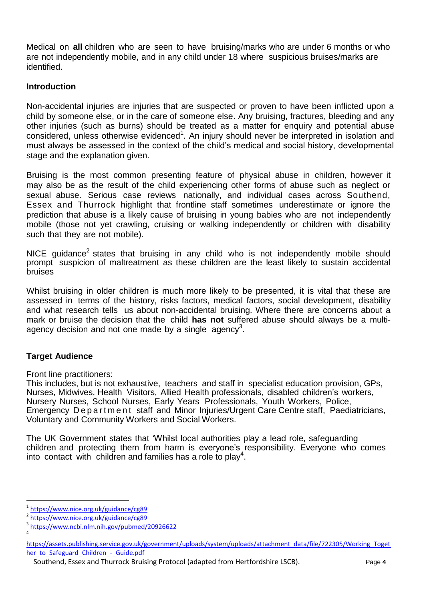Medical on **all** children who are seen to have bruising/marks who are under 6 months or who are not independently mobile, and in any child under 18 where suspicious bruises/marks are identified.

#### **Introduction**

Non-accidental injuries are injuries that are suspected or proven to have been inflicted upon a child by someone else, or in the care of someone else. Any bruising, fractures, bleeding and any other injuries (such as burns) should be treated as a matter for enquiry and potential abuse considered, unless otherwise evidenced<sup>1</sup>. An injury should never be interpreted in isolation and must always be assessed in the context of the child's medical and social history, developmental stage and the explanation given.

Bruising is the most common presenting feature of physical abuse in children, however it may also be as the result of the child experiencing other forms of abuse such as neglect or sexual abuse. Serious case reviews nationally, and individual cases across Southend, Essex and Thurrock highlight that frontline staff sometimes underestimate or ignore the prediction that abuse is a likely cause of bruising in young babies who are not independently mobile (those not yet crawling, cruising or walking independently or children with disability such that they are not mobile).

NICE guidance<sup>2</sup> states that bruising in any child who is not independently mobile should prompt suspicion of maltreatment as these children are the least likely to sustain accidental bruises

Whilst bruising in older children is much more likely to be presented, it is vital that these are assessed in terms of the history, risks factors, medical factors, social development, disability and what research tells us about non-accidental bruising. Where there are concerns about a mark or bruise the decision that the child **has not** suffered abuse should always be a multiagency decision and not one made by a single  $a$ gency<sup>3</sup>.

#### **Target Audience**

Front line practitioners:

This includes, but is not exhaustive, teachers and staff in specialist education provision, GPs, Nurses, Midwives, Health Visitors, Allied Health professionals, disabled children's workers, Nursery Nurses, School Nurses, Early Years Professionals, Youth Workers, Police, Emergency Department staff and Minor Injuries/Urgent Care Centre staff, Paediatricians, Voluntary and Community Workers and Social Workers.

The UK Government states that 'Whilst local authorities play a lead role, safeguarding children and protecting them from harm is everyone's responsibility. Everyone who comes into contact with children and families has a role to play<sup>4</sup>.

 $\overline{a}$ 

<sup>1</sup> <https://www.nice.org.uk/guidance/cg89>

<sup>2</sup> <https://www.nice.org.uk/guidance/cg89>

<sup>3</sup> <https://www.ncbi.nlm.nih.gov/pubmed/20926622> 4

[https://assets.publishing.service.gov.uk/government/uploads/system/uploads/attachment\\_data/file/722305/Working\\_Toget](https://assets.publishing.service.gov.uk/government/uploads/system/uploads/attachment_data/file/722305/Working_Together_to_Safeguard_Children_-_Guide.pdf) [her\\_to\\_Safeguard\\_Children\\_-\\_Guide.pdf](https://assets.publishing.service.gov.uk/government/uploads/system/uploads/attachment_data/file/722305/Working_Together_to_Safeguard_Children_-_Guide.pdf)

Southend, Essex and Thurrock Bruising Protocol (adapted from Hertfordshire LSCB). Page **4**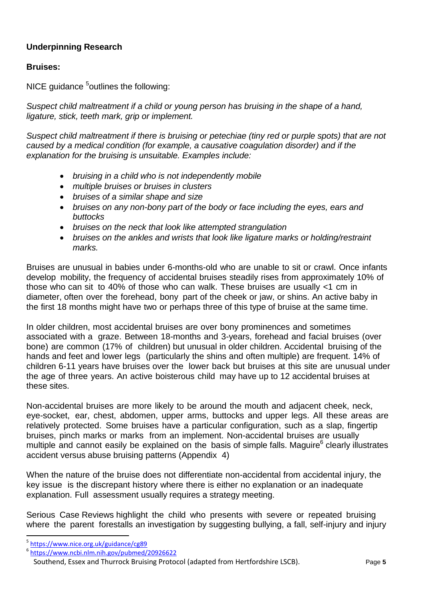## **Underpinning Research**

## **Bruises:**

NICE guidance <sup>5</sup>outlines the following:

*Suspect child maltreatment if a child or young person has bruising in the shape of a hand, ligature, stick, teeth mark, grip or implement.*

*Suspect child maltreatment if there is bruising or petechiae (tiny red or purple spots) that are not caused by a medical condition (for example, a causative coagulation disorder) and if the explanation for the bruising is unsuitable. Examples include:*

- *bruising in a child who is not independently mobile*
- *multiple bruises or bruises in clusters*
- *bruises of a similar shape and size*
- *bruises on any non-bony part of the body or face including the eyes, ears and buttocks*
- *bruises on the neck that look like attempted strangulation*
- *bruises on the ankles and wrists that look like ligature marks or holding/restraint marks.*

Bruises are unusual in babies under 6-months-old who are unable to sit or crawl. Once infants develop mobility, the frequency of accidental bruises steadily rises from approximately 10% of those who can sit to 40% of those who can walk. These bruises are usually <1 cm in diameter, often over the forehead, bony part of the cheek or jaw, or shins. An active baby in the first 18 months might have two or perhaps three of this type of bruise at the same time.

In older children, most accidental bruises are over bony prominences and sometimes associated with a graze. Between 18-months and 3-years, forehead and facial bruises (over bone) are common (17% of children) but unusual in older children. Accidental bruising of the hands and feet and lower legs (particularly the shins and often multiple) are frequent. 14% of children 6-11 years have bruises over the lower back but bruises at this site are unusual under the age of three years. An active boisterous child may have up to 12 accidental bruises at these sites.

Non-accidental bruises are more likely to be around the mouth and adjacent cheek, neck, eye-socket, ear, chest, abdomen, upper arms, buttocks and upper legs. All these areas are relatively protected. Some bruises have a particular configuration, such as a slap, fingertip bruises, pinch marks or marks from an implement. Non-accidental bruises are usually multiple and cannot easily be explained on the basis of simple falls. Maguire<sup>6</sup> clearly illustrates accident versus abuse bruising patterns (Appendix 4)

When the nature of the bruise does not differentiate non-accidental from accidental injury, the key issue is the discrepant history where there is either no explanation or an inadequate explanation. Full assessment usually requires a strategy meeting.

Serious Case Reviews highlight the child who presents with severe or repeated bruising where the parent forestalls an investigation by suggesting bullying, a fall, self-injury and injury

 $\overline{a}$ 

<sup>5</sup> <https://www.nice.org.uk/guidance/cg89>

<sup>6</sup> <https://www.ncbi.nlm.nih.gov/pubmed/20926622>

Southend, Essex and Thurrock Bruising Protocol (adapted from Hertfordshire LSCB). Page **5**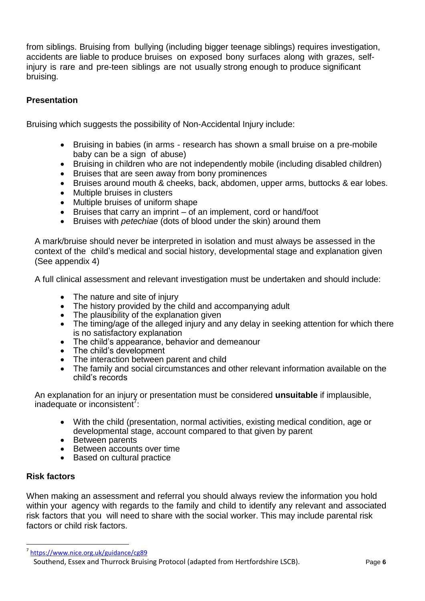from siblings. Bruising from bullying (including bigger teenage siblings) requires investigation, accidents are liable to produce bruises on exposed bony surfaces along with grazes, selfinjury is rare and pre-teen siblings are not usually strong enough to produce significant bruising.

#### **Presentation**

Bruising which suggests the possibility of Non-Accidental Injury include:

- Bruising in babies (in arms research has shown a small bruise on a pre-mobile baby can be a sign of abuse)
- Bruising in children who are not independently mobile (including disabled children)
- Bruises that are seen away from bony prominences
- Bruises around mouth & cheeks, back, abdomen, upper arms, buttocks & ear lobes.
- Multiple bruises in clusters
- Multiple bruises of uniform shape
- Bruises that carry an imprint of an implement, cord or hand/foot
- Bruises with *petechiae* (dots of blood under the skin) around them

A mark/bruise should never be interpreted in isolation and must always be assessed in the context of the child's medical and social history, developmental stage and explanation given (See appendix 4)

A full clinical assessment and relevant investigation must be undertaken and should include:

- The nature and site of injury
- The history provided by the child and accompanying adult
- The plausibility of the explanation given
- The timing/age of the alleged injury and any delay in seeking attention for which there is no satisfactory explanation
- The child's appearance, behavior and demeanour
- The child's development
- The interaction between parent and child
- The family and social circumstances and other relevant information available on the child's records

An explanation for an injury or presentation must be considered **unsuitable** if implausible, inadequate or inconsistent<sup>7</sup>:

- With the child (presentation, normal activities, existing medical condition, age or developmental stage, account compared to that given by parent
- Between parents
- Between accounts over time
- Based on cultural practice

#### **Risk factors**

1

When making an assessment and referral you should always review the information you hold within your agency with regards to the family and child to identify any relevant and associated risk factors that you will need to share with the social worker. This may include parental risk factors or child risk factors.

<sup>7</sup> <https://www.nice.org.uk/guidance/cg89>

Southend, Essex and Thurrock Bruising Protocol (adapted from Hertfordshire LSCB). Page **6**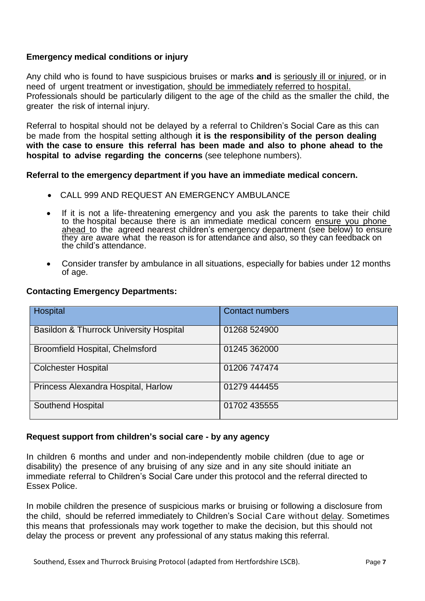#### **Emergency medical conditions or injury**

Any child who is found to have suspicious bruises or marks **and** is seriously ill or injured, or in need of urgent treatment or investigation, should be immediately referred to hospital. Professionals should be particularly diligent to the age of the child as the smaller the child, the greater the risk of internal injury.

Referral to hospital should not be delayed by a referral to Children's Social Care as this can be made from the hospital setting although **it is the responsibility of the person dealing with the case to ensure this referral has been made and also to phone ahead to the hospital to advise regarding the concerns** (see telephone numbers).

**Referral to the emergency department if you have an immediate medical concern.**

- CALL 999 AND REQUEST AN EMERGENCY AMBULANCE
- If it is not a life-threatening emergency and you ask the parents to take their child to the hospital because there is an immediate medical concern ensure you phone ahead to the agreed nearest children's emergency department (see below) to ensure they are aware what the reason is for attendance and also, so they can feedback on the child's attendance.
- Consider transfer by ambulance in all situations, especially for babies under 12 months of age.

|  |  | <b>Contacting Emergency Departments:</b> |
|--|--|------------------------------------------|
|--|--|------------------------------------------|

| <b>Contact numbers</b> |
|------------------------|
|                        |
|                        |
| 01268 524900           |
|                        |
| 01245 362000           |
|                        |
|                        |
| 01206 747474           |
|                        |
|                        |
| 01279 444455           |
|                        |
|                        |
| 01702 435555           |
|                        |
|                        |

#### **Request support from children's social care - by any agency**

In children 6 months and under and non-independently mobile children (due to age or disability) the presence of any bruising of any size and in any site should initiate an immediate referral to Children's Social Care under this protocol and the referral directed to Essex Police.

In mobile children the presence of suspicious marks or bruising or following a disclosure from the child, should be referred immediately to Children's Social Care without delay. Sometimes this means that professionals may work together to make the decision, but this should not delay the process or prevent any professional of any status making this referral.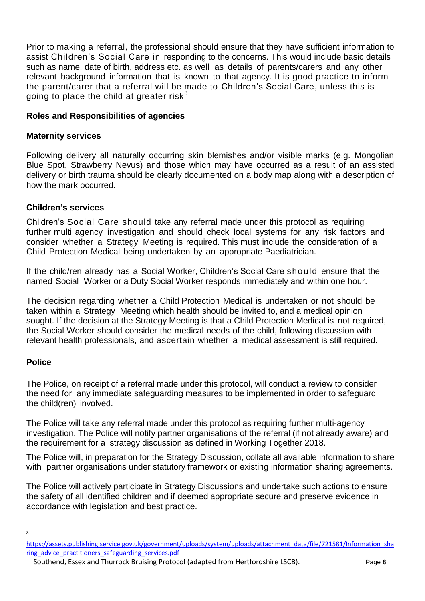Prior to making a referral, the professional should ensure that they have sufficient information to assist Children's Social Care in responding to the concerns. This would include basic details such as name, date of birth, address etc. as well as details of parents/carers and any other relevant background information that is known to that agency. It is good practice to inform the parent/carer that a referral will be made to Children's Social Care, unless this is going to place the child at greater risk $8$ 

#### **Roles and Responsibilities of agencies**

#### **Maternity services**

Following delivery all naturally occurring skin blemishes and/or visible marks (e.g. Mongolian Blue Spot, Strawberry Nevus) and those which may have occurred as a result of an assisted delivery or birth trauma should be clearly documented on a body map along with a description of how the mark occurred.

#### **Children's services**

Children's Social Care should take any referral made under this protocol as requiring further multi agency investigation and should check local systems for any risk factors and consider whether a Strategy Meeting is required. This must include the consideration of a Child Protection Medical being undertaken by an appropriate Paediatrician.

If the child/ren already has a Social Worker, Children's Social Care should ensure that the named Social Worker or a Duty Social Worker responds immediately and within one hour.

The decision regarding whether a Child Protection Medical is undertaken or not should be taken within a Strategy Meeting which health should be invited to, and a medical opinion sought. If the decision at the Strategy Meeting is that a Child Protection Medical is not required, the Social Worker should consider the medical needs of the child, following discussion with relevant health professionals, and ascertain whether a medical assessment is still required.

#### **Police**

The Police, on receipt of a referral made under this protocol, will conduct a review to consider the need for any immediate safeguarding measures to be implemented in order to safeguard the child(ren) involved.

The Police will take any referral made under this protocol as requiring further multi-agency investigation. The Police will notify partner organisations of the referral (if not already aware) and the requirement for a strategy discussion as defined in Working Together 2018.

The Police will, in preparation for the Strategy Discussion, collate all available information to share with partner organisations under statutory framework or existing information sharing agreements.

The Police will actively participate in Strategy Discussions and undertake such actions to ensure the safety of all identified children and if deemed appropriate secure and preserve evidence in accordance with legislation and best practice.

 $\overline{8}$ 

[https://assets.publishing.service.gov.uk/government/uploads/system/uploads/attachment\\_data/file/721581/Information\\_sha](https://assets.publishing.service.gov.uk/government/uploads/system/uploads/attachment_data/file/721581/Information_sharing_advice_practitioners_safeguarding_services.pdf) [ring\\_advice\\_practitioners\\_safeguarding\\_services.pdf](https://assets.publishing.service.gov.uk/government/uploads/system/uploads/attachment_data/file/721581/Information_sharing_advice_practitioners_safeguarding_services.pdf)

Southend, Essex and Thurrock Bruising Protocol (adapted from Hertfordshire LSCB). Page **8**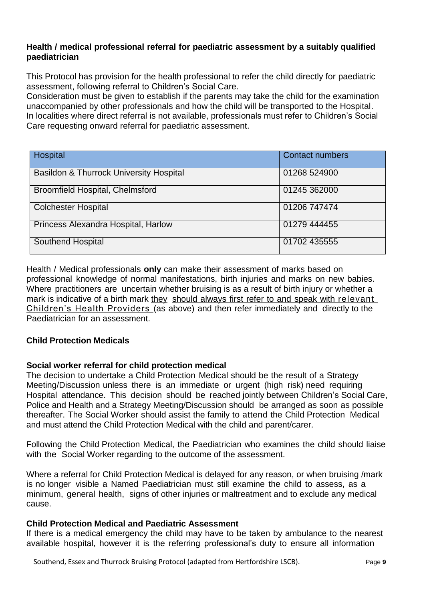#### **Health / medical professional referral for paediatric assessment by a suitably qualified paediatrician**

This Protocol has provision for the health professional to refer the child directly for paediatric assessment, following referral to Children's Social Care.

Consideration must be given to establish if the parents may take the child for the examination unaccompanied by other professionals and how the child will be transported to the Hospital. In localities where direct referral is not available, professionals must refer to Children's Social Care requesting onward referral for paediatric assessment.

| Hospital                                | <b>Contact numbers</b> |
|-----------------------------------------|------------------------|
| Basildon & Thurrock University Hospital | 01268 524900           |
| Broomfield Hospital, Chelmsford         | 01245 362000           |
| <b>Colchester Hospital</b>              | 01206 747474           |
| Princess Alexandra Hospital, Harlow     | 01279 444455           |
| <b>Southend Hospital</b>                | 01702 435555           |

Health / Medical professionals **only** can make their assessment of marks based on professional knowledge of normal manifestations, birth injuries and marks on new babies. Where practitioners are uncertain whether bruising is as a result of birth injury or whether a mark is indicative of a birth mark they should always first refer to and speak with relevant Children's Health Providers (as above) and then refer immediately and directly to the Paediatrician for an assessment.

#### **Child Protection Medicals**

#### **Social worker referral for child protection medical**

The decision to undertake a Child Protection Medical should be the result of a Strategy Meeting/Discussion unless there is an immediate or urgent (high risk) need requiring Hospital attendance. This decision should be reached jointly between Children's Social Care, Police and Health and a Strategy Meeting/Discussion should be arranged as soon as possible thereafter. The Social Worker should assist the family to attend the Child Protection Medical and must attend the Child Protection Medical with the child and parent/carer.

Following the Child Protection Medical, the Paediatrician who examines the child should liaise with the Social Worker regarding to the outcome of the assessment.

Where a referral for Child Protection Medical is delayed for any reason, or when bruising /mark is no longer visible a Named Paediatrician must still examine the child to assess, as a minimum, general health, signs of other injuries or maltreatment and to exclude any medical cause.

#### **Child Protection Medical and Paediatric Assessment**

If there is a medical emergency the child may have to be taken by ambulance to the nearest available hospital, however it is the referring professional's duty to ensure all information

Southend, Essex and Thurrock Bruising Protocol (adapted from Hertfordshire LSCB). Page **9**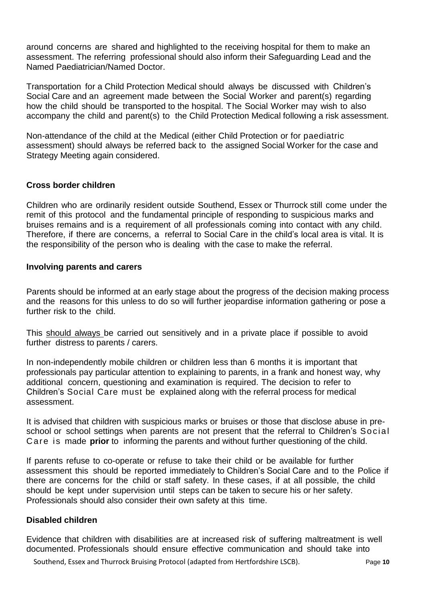around concerns are shared and highlighted to the receiving hospital for them to make an assessment. The referring professional should also inform their Safeguarding Lead and the Named Paediatrician/Named Doctor.

Transportation for a Child Protection Medical should always be discussed with Children's Social Care and an agreement made between the Social Worker and parent(s) regarding how the child should be transported to the hospital. The Social Worker may wish to also accompany the child and parent(s) to the Child Protection Medical following a risk assessment.

Non-attendance of the child at the Medical (either Child Protection or for paediatric assessment) should always be referred back to the assigned Social Worker for the case and Strategy Meeting again considered.

#### **Cross border children**

Children who are ordinarily resident outside Southend, Essex or Thurrock still come under the remit of this protocol and the fundamental principle of responding to suspicious marks and bruises remains and is a requirement of all professionals coming into contact with any child. Therefore, if there are concerns, a referral to Social Care in the child's local area is vital. It is the responsibility of the person who is dealing with the case to make the referral.

#### **Involving parents and carers**

Parents should be informed at an early stage about the progress of the decision making process and the reasons for this unless to do so will further jeopardise information gathering or pose a further risk to the child.

This should always be carried out sensitively and in a private place if possible to avoid further distress to parents / carers.

In non-independently mobile children or children less than 6 months it is important that professionals pay particular attention to explaining to parents, in a frank and honest way, why additional concern, questioning and examination is required. The decision to refer to Children's Social Care must be explained along with the referral process for medical assessment.

It is advised that children with suspicious marks or bruises or those that disclose abuse in preschool or school settings when parents are not present that the referral to Children's Social Care is made **prior** to informing the parents and without further questioning of the child.

If parents refuse to co-operate or refuse to take their child or be available for further assessment this should be reported immediately to Children's Social Care and to the Police if there are concerns for the child or staff safety. In these cases, if at all possible, the child should be kept under supervision until steps can be taken to secure his or her safety. Professionals should also consider their own safety at this time.

#### **Disabled children**

Evidence that children with disabilities are at increased risk of suffering maltreatment is well documented. Professionals should ensure effective communication and should take into

Southend, Essex and Thurrock Bruising Protocol (adapted from Hertfordshire LSCB). Page **10**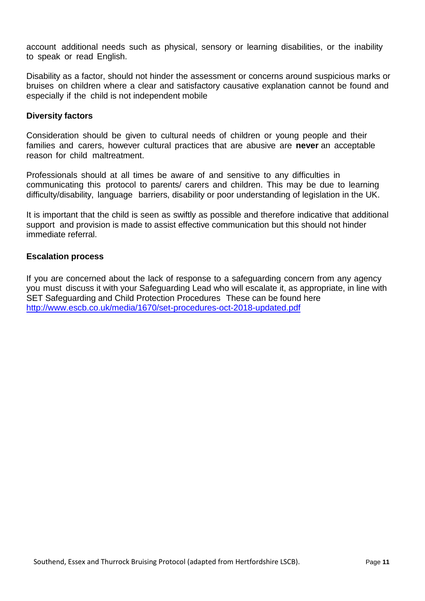account additional needs such as physical, sensory or learning disabilities, or the inability to speak or read English.

Disability as a factor, should not hinder the assessment or concerns around suspicious marks or bruises on children where a clear and satisfactory causative explanation cannot be found and especially if the child is not independent mobile

#### **Diversity factors**

Consideration should be given to cultural needs of children or young people and their families and carers, however cultural practices that are abusive are **never** an acceptable reason for child maltreatment.

Professionals should at all times be aware of and sensitive to any difficulties in communicating this protocol to parents/ carers and children. This may be due to learning difficulty/disability, language barriers, disability or poor understanding of legislation in the UK.

It is important that the child is seen as swiftly as possible and therefore indicative that additional support and provision is made to assist effective communication but this should not hinder immediate referral.

#### **Escalation process**

If you are concerned about the lack of response to a safeguarding concern from any agency you must discuss it with your Safeguarding Lead who will escalate it, as appropriate, in line with SET Safeguarding and Child Protection Procedures These can be found here <http://www.escb.co.uk/media/1670/set-procedures-oct-2018-updated.pdf>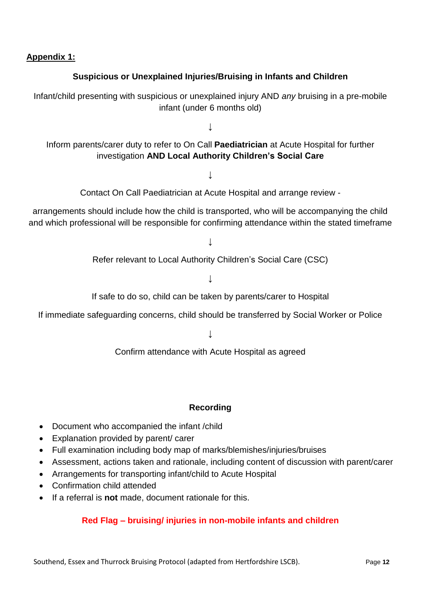**Appendix 1:**

## **Suspicious or Unexplained Injuries/Bruising in Infants and Children**

Infant/child presenting with suspicious or unexplained injury AND *any* bruising in a pre-mobile infant (under 6 months old)

**↓**

Inform parents/carer duty to refer to On Call **Paediatrician** at Acute Hospital for further investigation **AND Local Authority Children's Social Care**

**↓**

Contact On Call Paediatrician at Acute Hospital and arrange review -

arrangements should include how the child is transported, who will be accompanying the child and which professional will be responsible for confirming attendance within the stated timeframe

**↓**

Refer relevant to Local Authority Children's Social Care (CSC)

**↓**

If safe to do so, child can be taken by parents/carer to Hospital

If immediate safeguarding concerns, child should be transferred by Social Worker or Police

**↓**

Confirm attendance with Acute Hospital as agreed

#### **Recording**

- Document who accompanied the infant /child
- Explanation provided by parent/ carer
- Full examination including body map of marks/blemishes/injuries/bruises
- Assessment, actions taken and rationale, including content of discussion with parent/carer
- Arrangements for transporting infant/child to Acute Hospital
- Confirmation child attended
- If a referral is **not** made, document rationale for this.

## **Red Flag – bruising/ injuries in non-mobile infants and children**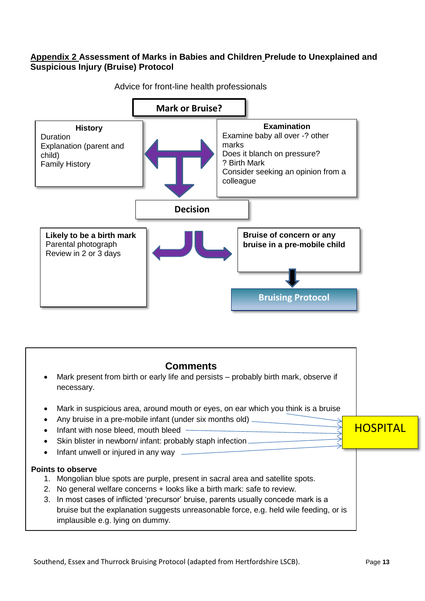#### **Appendix 2 Assessment of Marks in Babies and Children Prelude to Unexplained and Suspicious Injury (Bruise) Protocol**



Advice for front-line health professionals

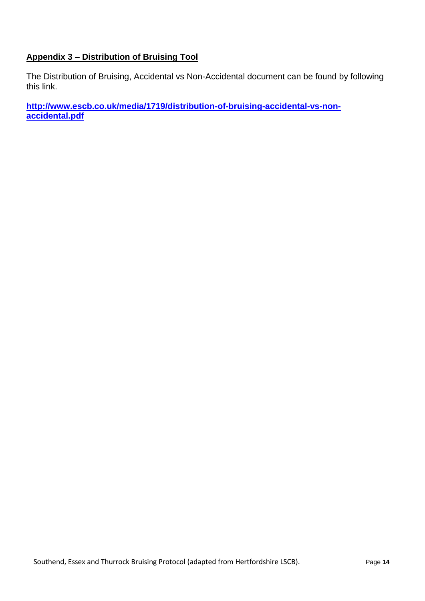## **Appendix 3 – Distribution of Bruising Tool**

The Distribution of Bruising, Accidental vs Non-Accidental document can be found by following this link.

**[http://www.escb.co.uk/media/1719/distribution-of-bruising-accidental-vs-non](http://www.escb.co.uk/media/1719/distribution-of-bruising-accidental-vs-non-accidental.pdf)[accidental.pdf](http://www.escb.co.uk/media/1719/distribution-of-bruising-accidental-vs-non-accidental.pdf)**